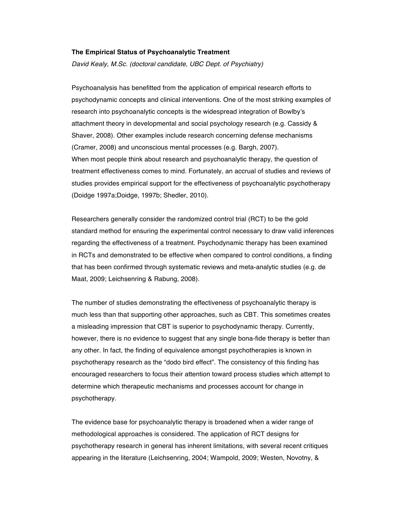### **The Empirical Status of Psychoanalytic Treatment**

*David Kealy, M.Sc. (doctoral candidate, UBC Dept. of Psychiatry)*

Psychoanalysis has benefitted from the application of empirical research efforts to psychodynamic concepts and clinical interventions. One of the most striking examples of research into psychoanalytic concepts is the widespread integration of Bowlby's attachment theory in developmental and social psychology research (e.g. Cassidy & Shaver, 2008). Other examples include research concerning defense mechanisms (Cramer, 2008) and unconscious mental processes (e.g. Bargh, 2007). When most people think about research and psychoanalytic therapy, the question of treatment effectiveness comes to mind. Fortunately, an accrual of studies and reviews of studies provides empirical support for the effectiveness of psychoanalytic psychotherapy (Doidge 1997a;Doidge, 1997b; Shedler, 2010).

Researchers generally consider the randomized control trial (RCT) to be the gold standard method for ensuring the experimental control necessary to draw valid inferences regarding the effectiveness of a treatment. Psychodynamic therapy has been examined in RCTs and demonstrated to be effective when compared to control conditions, a finding that has been confirmed through systematic reviews and meta-analytic studies (e.g. de Maat, 2009; Leichsenring & Rabung, 2008).

The number of studies demonstrating the effectiveness of psychoanalytic therapy is much less than that supporting other approaches, such as CBT. This sometimes creates a misleading impression that CBT is superior to psychodynamic therapy. Currently, however, there is no evidence to suggest that any single bona-fide therapy is better than any other. In fact, the finding of equivalence amongst psychotherapies is known in psychotherapy research as the "dodo bird effect". The consistency of this finding has encouraged researchers to focus their attention toward process studies which attempt to determine which therapeutic mechanisms and processes account for change in psychotherapy.

The evidence base for psychoanalytic therapy is broadened when a wider range of methodological approaches is considered. The application of RCT designs for psychotherapy research in general has inherent limitations, with several recent critiques appearing in the literature (Leichsenring, 2004; Wampold, 2009; Westen, Novotny, &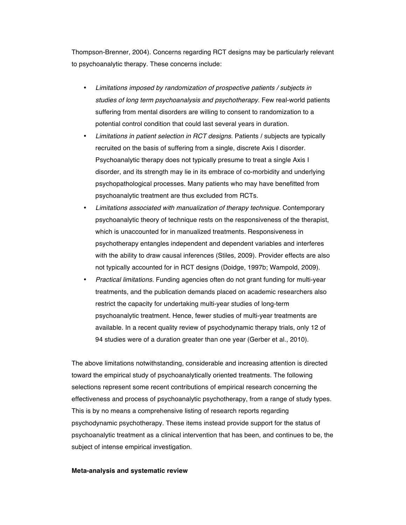Thompson-Brenner, 2004). Concerns regarding RCT designs may be particularly relevant to psychoanalytic therapy. These concerns include:

- *Limitations imposed by randomization of prospective patients / subjects in studies of long term psychoanalysis and psychotherapy.* Few real-world patients suffering from mental disorders are willing to consent to randomization to a potential control condition that could last several years in duration.
- *Limitations in patient selection in RCT designs.* Patients / subjects are typically recruited on the basis of suffering from a single, discrete Axis I disorder. Psychoanalytic therapy does not typically presume to treat a single Axis I disorder, and its strength may lie in its embrace of co-morbidity and underlying psychopathological processes. Many patients who may have benefitted from psychoanalytic treatment are thus excluded from RCTs.
- *Limitations associated with manualization of therapy technique.* Contemporary psychoanalytic theory of technique rests on the responsiveness of the therapist, which is unaccounted for in manualized treatments. Responsiveness in psychotherapy entangles independent and dependent variables and interferes with the ability to draw causal inferences (Stiles, 2009). Provider effects are also not typically accounted for in RCT designs (Doidge, 1997b; Wampold, 2009).
- *Practical limitations.* Funding agencies often do not grant funding for multi-year treatments, and the publication demands placed on academic researchers also restrict the capacity for undertaking multi-year studies of long-term psychoanalytic treatment. Hence, fewer studies of multi-year treatments are available. In a recent quality review of psychodynamic therapy trials, only 12 of 94 studies were of a duration greater than one year (Gerber et al., 2010).

The above limitations notwithstanding, considerable and increasing attention is directed toward the empirical study of psychoanalytically oriented treatments. The following selections represent some recent contributions of empirical research concerning the effectiveness and process of psychoanalytic psychotherapy, from a range of study types. This is by no means a comprehensive listing of research reports regarding psychodynamic psychotherapy. These items instead provide support for the status of psychoanalytic treatment as a clinical intervention that has been, and continues to be, the subject of intense empirical investigation.

### **Meta-analysis and systematic review**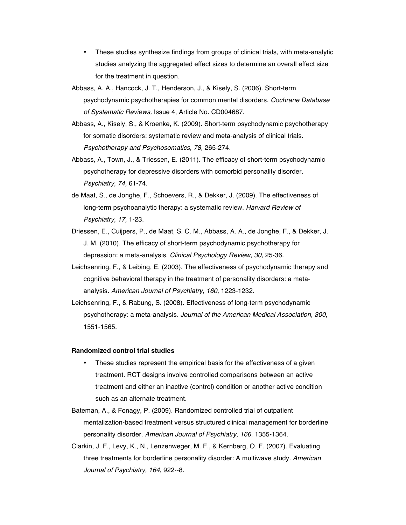- These studies synthesize findings from groups of clinical trials, with meta-analytic studies analyzing the aggregated effect sizes to determine an overall effect size for the treatment in question.
- Abbass, A. A., Hancock, J. T., Henderson, J., & Kisely, S. (2006). Short-term psychodynamic psychotherapies for common mental disorders. *Cochrane Database of Systematic Reviews,* Issue 4, Article No. CD004687.
- Abbass, A., Kisely, S., & Kroenke, K. (2009). Short-term psychodynamic psychotherapy for somatic disorders: systematic review and meta-analysis of clinical trials. *Psychotherapy and Psychosomatics, 78,* 265-274.
- Abbass, A., Town, J., & Triessen, E. (2011). The efficacy of short-term psychodynamic psychotherapy for depressive disorders with comorbid personality disorder. *Psychiatry, 74,* 61-74.
- de Maat, S., de Jonghe, F., Schoevers, R., & Dekker, J. (2009). The effectiveness of long-term psychoanalytic therapy: a systematic review. *Harvard Review of Psychiatry, 17,* 1-23.
- Driessen, E., Cuijpers, P., de Maat, S. C. M., Abbass, A. A., de Jonghe, F., & Dekker, J. J. M. (2010). The efficacy of short-term psychodynamic psychotherapy for depression: a meta-analysis. *Clinical Psychology Review, 30,* 25-36.
- Leichsenring, F., & Leibing, E. (2003). The effectiveness of psychodynamic therapy and cognitive behavioral therapy in the treatment of personality disorders: a metaanalysis. *American Journal of Psychiatry, 160,* 1223-1232.
- Leichsenring, F., & Rabung, S. (2008). Effectiveness of long-term psychodynamic psychotherapy: a meta-analysis*. Journal of the American Medical Association, 300*, 1551-1565.

### **Randomized control trial studies**

- These studies represent the empirical basis for the effectiveness of a given treatment. RCT designs involve controlled comparisons between an active treatment and either an inactive (control) condition or another active condition such as an alternate treatment.
- Bateman, A., & Fonagy, P. (2009). Randomized controlled trial of outpatient mentalization-based treatment versus structured clinical management for borderline personality disorder. *American Journal of Psychiatry, 166*, 1355-1364.
- Clarkin, J. F., Levy, K., N., Lenzenweger, M. F., & Kernberg, O. F. (2007). Evaluating three treatments for borderline personality disorder: A multiwave study. *American Journal of Psychiatry, 164*, 922--8.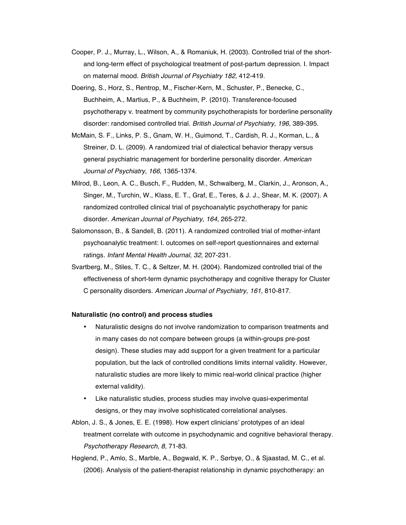- Cooper, P. J., Murray, L., Wilson, A., & Romaniuk, H. (2003). Controlled trial of the shortand long-term effect of psychological treatment of post-partum depression. I. Impact on maternal mood. *British Journal of Psychiatry 182,* 412-419.
- Doering, S., Horz, S., Rentrop, M., Fischer-Kern, M., Schuster, P., Benecke, C., Buchheim, A., Martius, P., & Buchheim, P. (2010). Transference-focused psychotherapy v. treatment by community psychotherapists for borderline personality disorder: randomised controlled trial. *British Journal of Psychiatry, 196*, 389-395.
- McMain, S. F., Links, P. S., Gnam, W. H., Guimond, T., Cardish, R. J., Korman, L., & Streiner, D. L. (2009). A randomized trial of dialectical behavior therapy versus general psychiatric management for borderline personality disorder. *American Journal of Psychiatry, 166*, 1365-1374.
- Milrod, B., Leon, A. C., Busch, F., Rudden, M., Schwalberg, M., Clarkin, J., Aronson, A., Singer, M., Turchin, W., Klass, E. T., Graf, E., Teres, & J. J., Shear, M. K. (2007). A randomized controlled clinical trial of psychoanalytic psychotherapy for panic disorder. *American Journal of Psychiatry, 164,* 265-272.
- Salomonsson, B., & Sandell, B. (2011). A randomized controlled trial of mother-infant psychoanalytic treatment: I. outcomes on self-report questionnaires and external ratings. *Infant Mental Health Journal, 32*, 207-231.
- Svartberg, M., Stiles, T. C., & Seltzer, M. H. (2004). Randomized controlled trial of the effectiveness of short-term dynamic psychotherapy and cognitive therapy for Cluster C personality disorders. *American Journal of Psychiatry, 161,* 810-817.

## **Naturalistic (no control) and process studies**

- Naturalistic designs do not involve randomization to comparison treatments and in many cases do not compare between groups (a within-groups pre-post design). These studies may add support for a given treatment for a particular population, but the lack of controlled conditions limits internal validity. However, naturalistic studies are more likely to mimic real-world clinical practice (higher external validity).
- Like naturalistic studies, process studies may involve quasi-experimental designs, or they may involve sophisticated correlational analyses.
- Ablon, J. S., & Jones, E. E. (1998). How expert clinicians' prototypes of an ideal treatment correlate with outcome in psychodynamic and cognitive behavioral therapy. *Psychotherapy Research, 8*, 71-83.

Høglend, P., Amlo, S., Marble, A., Bøgwald, K. P., Sørbye, O., & Sjaastad, M. C., et al. (2006). Analysis of the patient-therapist relationship in dynamic psychotherapy: an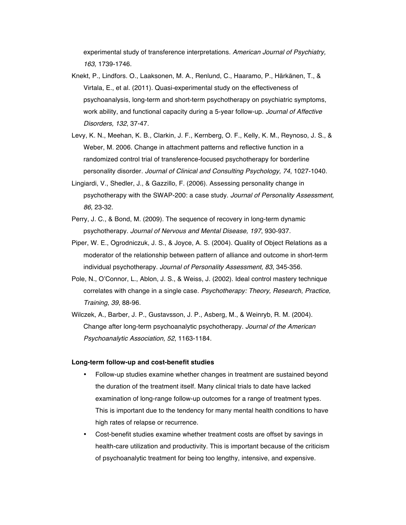experimental study of transference interpretations. *American Journal of Psychiatry, 163,* 1739-1746.

- Knekt, P., Lindfors. O., Laaksonen, M. A., Renlund, C., Haaramo, P., Härkänen, T., & Virtala, E., et al. (2011). Quasi-experimental study on the effectiveness of psychoanalysis, long-term and short-term psychotherapy on psychiatric symptoms, work ability, and functional capacity during a 5-year follow-up. *Journal of Affective Disorders, 132*, 37-47.
- Levy, K. N., Meehan, K. B., Clarkin, J. F., Kernberg, O. F., Kelly, K. M., Reynoso, J. S., & Weber, M. 2006. Change in attachment patterns and reflective function in a randomized control trial of transference-focused psychotherapy for borderline personality disorder. *Journal of Clinical and Consulting Psychology, 74*, 1027-1040.
- Lingiardi, V., Shedler, J., & Gazzillo, F. (2006). Assessing personality change in psychotherapy with the SWAP-200: a case study. *Journal of Personality Assessment, 86*, 23-32.
- Perry, J. C., & Bond, M. (2009). The sequence of recovery in long-term dynamic psychotherapy. *Journal of Nervous and Mental Disease, 197*, 930-937.
- Piper, W. E., Ogrodniczuk, J. S., & Joyce, A. S. (2004). Quality of Object Relations as a moderator of the relationship between pattern of alliance and outcome in short-term individual psychotherapy. *Journal of Personality Assessment, 83*, 345-356.
- Pole, N., O'Connor, L., Ablon, J. S., & Weiss, J. (2002). Ideal control mastery technique correlates with change in a single case. *Psychotherapy: Theory, Research, Practice, Training, 39*, 88-96.
- Wilczek, A., Barber, J. P., Gustavsson, J. P., Asberg, M., & Weinryb, R. M. (2004). Change after long-term psychoanalytic psychotherapy. *Journal of the American Psychoanalytic Association, 52*, 1163-1184.

### **Long-term follow-up and cost-benefit studies**

- Follow-up studies examine whether changes in treatment are sustained beyond the duration of the treatment itself. Many clinical trials to date have lacked examination of long-range follow-up outcomes for a range of treatment types. This is important due to the tendency for many mental health conditions to have high rates of relapse or recurrence.
- Cost-benefit studies examine whether treatment costs are offset by savings in health-care utilization and productivity. This is important because of the criticism of psychoanalytic treatment for being too lengthy, intensive, and expensive.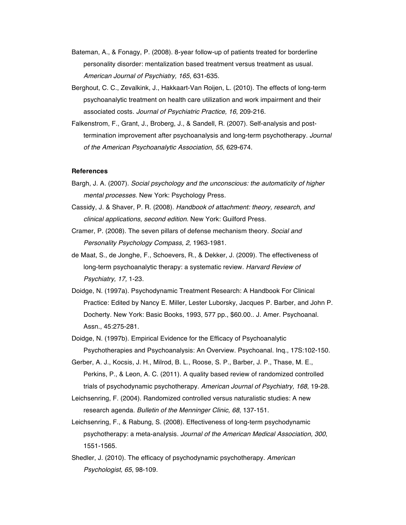- Bateman, A., & Fonagy, P. (2008). 8-year follow-up of patients treated for borderline personality disorder: mentalization based treatment versus treatment as usual. *American Journal of Psychiatry, 165*, 631-635.
- Berghout, C. C., Zevalkink, J., Hakkaart-Van Roijen, L. (2010). The effects of long-term psychoanalytic treatment on health care utilization and work impairment and their associated costs. *Journal of Psychiatric Practice, 16,* 209-216.
- Falkenstrom, F., Grant, J., Broberg, J., & Sandell, R. (2007). Self-analysis and posttermination improvement after psychoanalysis and long-term psychotherapy*. Journal of the American Psychoanalytic Association, 55*, 629-674.

# **References**

- Bargh, J. A. (2007). *Social psychology and the unconscious: the automaticity of higher mental processes.* New York: Psychology Press.
- Cassidy, J. & Shaver, P. R. (2008). *Handbook of attachment: theory, research, and clinical applications, second edition.* New York: Guilford Press.
- Cramer, P. (2008). The seven pillars of defense mechanism theory. *Social and Personality Psychology Compass, 2,* 1963-1981.
- de Maat, S., de Jonghe, F., Schoevers, R., & Dekker, J. (2009). The effectiveness of long-term psychoanalytic therapy: a systematic review. *Harvard Review of Psychiatry, 17,* 1-23.
- Doidge, N. (1997a). Psychodynamic Treatment Research: A Handbook For Clinical Practice: Edited by Nancy E. Miller, Lester Luborsky, Jacques P. Barber, and John P. Docherty. New York: Basic Books, 1993, 577 pp., \$60.00.. J. Amer. Psychoanal. Assn., 45:275-281.
- Doidge, N. (1997b). Empirical Evidence for the Efficacy of Psychoanalytic Psychotherapies and Psychoanalysis: An Overview. Psychoanal. Inq., 17S:102-150.
- Gerber, A. J., Kocsis, J. H., Milrod, B. L., Roose, S. P., Barber, J. P., Thase, M. E., Perkins, P., & Leon, A. C. (2011). A quality based review of randomized controlled trials of psychodynamic psychotherapy. *American Journal of Psychiatry, 168*, 19-28.
- Leichsenring, F. (2004). Randomized controlled versus naturalistic studies: A new research agenda. *Bulletin of the Menninger Clinic, 68*, 137-151.
- Leichsenring, F., & Rabung, S. (2008). Effectiveness of long-term psychodynamic psychotherapy: a meta-analysis*. Journal of the American Medical Association, 300*, 1551-1565.
- Shedler, J. (2010). The efficacy of psychodynamic psychotherapy. *American Psychologist, 65*, 98-109.